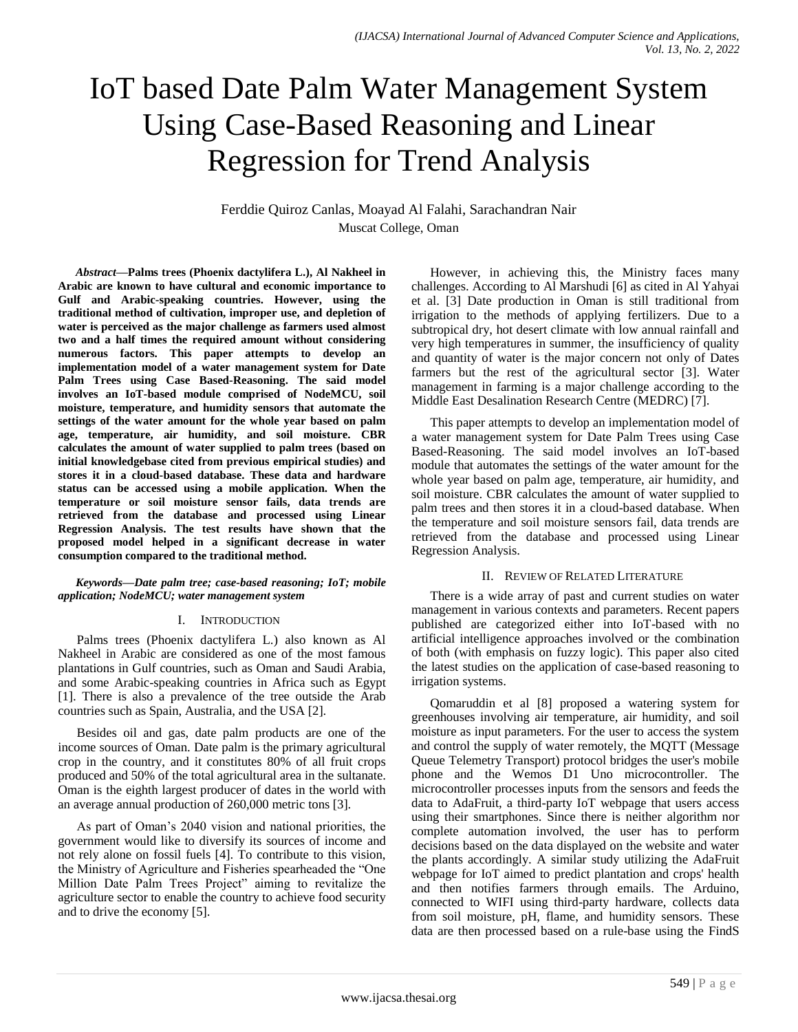# IoT based Date Palm Water Management System Using Case-Based Reasoning and Linear Regression for Trend Analysis

Ferddie Quiroz Canlas, Moayad Al Falahi, Sarachandran Nair Muscat College, Oman

*Abstract***—Palms trees (Phoenix dactylifera L.), Al Nakheel in Arabic are known to have cultural and economic importance to Gulf and Arabic-speaking countries. However, using the traditional method of cultivation, improper use, and depletion of water is perceived as the major challenge as farmers used almost two and a half times the required amount without considering numerous factors. This paper attempts to develop an implementation model of a water management system for Date Palm Trees using Case Based-Reasoning. The said model involves an IoT-based module comprised of NodeMCU, soil moisture, temperature, and humidity sensors that automate the settings of the water amount for the whole year based on palm age, temperature, air humidity, and soil moisture. CBR calculates the amount of water supplied to palm trees (based on initial knowledgebase cited from previous empirical studies) and stores it in a cloud-based database. These data and hardware status can be accessed using a mobile application. When the temperature or soil moisture sensor fails, data trends are retrieved from the database and processed using Linear Regression Analysis. The test results have shown that the proposed model helped in a significant decrease in water consumption compared to the traditional method.**

#### *Keywords—Date palm tree; case-based reasoning; IoT; mobile application; NodeMCU; water management system*

#### I. INTRODUCTION

Palms trees (Phoenix dactylifera L.) also known as Al Nakheel in Arabic are considered as one of the most famous plantations in Gulf countries, such as Oman and Saudi Arabia, and some Arabic-speaking countries in Africa such as Egypt [1]. There is also a prevalence of the tree outside the Arab countries such as Spain, Australia, and the USA [2].

Besides oil and gas, date palm products are one of the income sources of Oman. Date palm is the primary agricultural crop in the country, and it constitutes 80% of all fruit crops produced and 50% of the total agricultural area in the sultanate. Oman is the eighth largest producer of dates in the world with an average annual production of 260,000 metric tons [3].

As part of Oman's 2040 vision and national priorities, the government would like to diversify its sources of income and not rely alone on fossil fuels [4]. To contribute to this vision, the Ministry of Agriculture and Fisheries spearheaded the "One Million Date Palm Trees Project" aiming to revitalize the agriculture sector to enable the country to achieve food security and to drive the economy [5].

However, in achieving this, the Ministry faces many challenges. According to Al Marshudi [6] as cited in Al Yahyai et al. [3] Date production in Oman is still traditional from irrigation to the methods of applying fertilizers. Due to a subtropical dry, hot desert climate with low annual rainfall and very high temperatures in summer, the insufficiency of quality and quantity of water is the major concern not only of Dates farmers but the rest of the agricultural sector [3]. Water management in farming is a major challenge according to the Middle East Desalination Research Centre (MEDRC) [7].

This paper attempts to develop an implementation model of a water management system for Date Palm Trees using Case Based-Reasoning. The said model involves an IoT-based module that automates the settings of the water amount for the whole year based on palm age, temperature, air humidity, and soil moisture. CBR calculates the amount of water supplied to palm trees and then stores it in a cloud-based database. When the temperature and soil moisture sensors fail, data trends are retrieved from the database and processed using Linear Regression Analysis.

# II. REVIEW OF RELATED LITERATURE

There is a wide array of past and current studies on water management in various contexts and parameters. Recent papers published are categorized either into IoT-based with no artificial intelligence approaches involved or the combination of both (with emphasis on fuzzy logic). This paper also cited the latest studies on the application of case-based reasoning to irrigation systems.

Qomaruddin et al [8] proposed a watering system for greenhouses involving air temperature, air humidity, and soil moisture as input parameters. For the user to access the system and control the supply of water remotely, the MQTT (Message Queue Telemetry Transport) protocol bridges the user's mobile phone and the Wemos D1 Uno microcontroller. The microcontroller processes inputs from the sensors and feeds the data to AdaFruit, a third-party IoT webpage that users access using their smartphones. Since there is neither algorithm nor complete automation involved, the user has to perform decisions based on the data displayed on the website and water the plants accordingly. A similar study utilizing the AdaFruit webpage for IoT aimed to predict plantation and crops' health and then notifies farmers through emails. The Arduino, connected to WIFI using third-party hardware, collects data from soil moisture, pH, flame, and humidity sensors. These data are then processed based on a rule-base using the FindS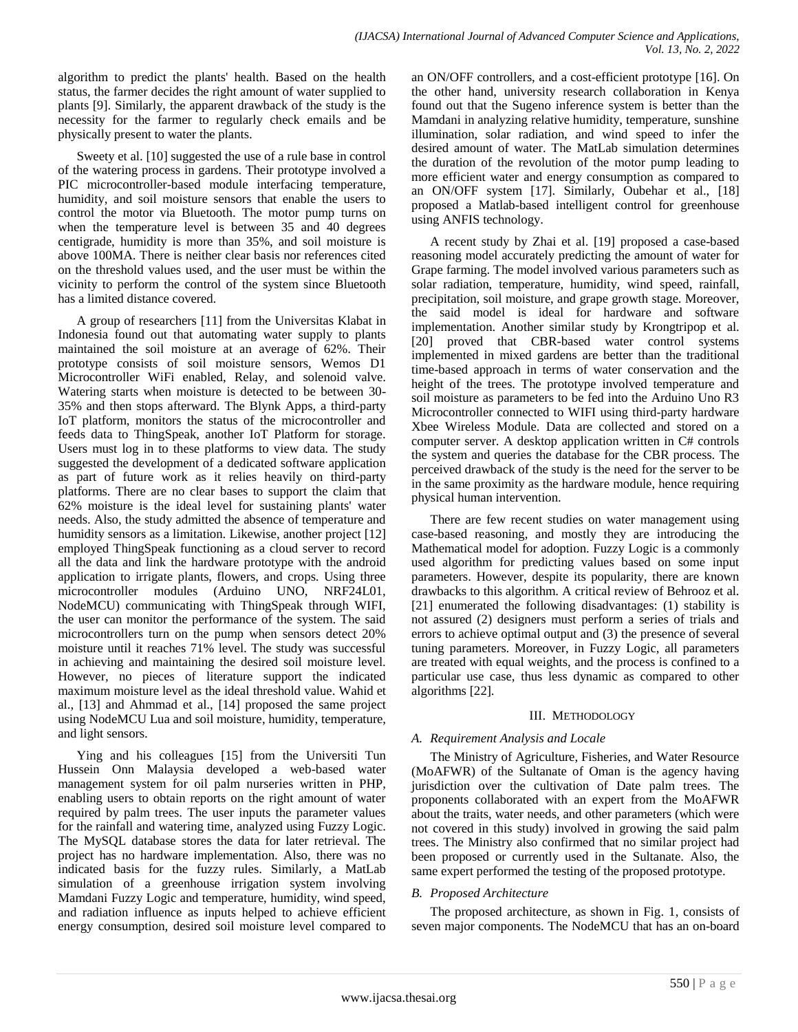algorithm to predict the plants' health. Based on the health status, the farmer decides the right amount of water supplied to plants [9]. Similarly, the apparent drawback of the study is the necessity for the farmer to regularly check emails and be physically present to water the plants.

Sweety et al. [10] suggested the use of a rule base in control of the watering process in gardens. Their prototype involved a PIC microcontroller-based module interfacing temperature, humidity, and soil moisture sensors that enable the users to control the motor via Bluetooth. The motor pump turns on when the temperature level is between 35 and 40 degrees centigrade, humidity is more than 35%, and soil moisture is above 100MA. There is neither clear basis nor references cited on the threshold values used, and the user must be within the vicinity to perform the control of the system since Bluetooth has a limited distance covered.

A group of researchers [11] from the Universitas Klabat in Indonesia found out that automating water supply to plants maintained the soil moisture at an average of 62%. Their prototype consists of soil moisture sensors, Wemos D1 Microcontroller WiFi enabled, Relay, and solenoid valve. Watering starts when moisture is detected to be between 30- 35% and then stops afterward. The Blynk Apps, a third-party IoT platform, monitors the status of the microcontroller and feeds data to ThingSpeak, another IoT Platform for storage. Users must log in to these platforms to view data. The study suggested the development of a dedicated software application as part of future work as it relies heavily on third-party platforms. There are no clear bases to support the claim that 62% moisture is the ideal level for sustaining plants' water needs. Also, the study admitted the absence of temperature and humidity sensors as a limitation. Likewise, another project [12] employed ThingSpeak functioning as a cloud server to record all the data and link the hardware prototype with the android application to irrigate plants, flowers, and crops. Using three microcontroller modules (Arduino UNO, NRF24L01, NodeMCU) communicating with ThingSpeak through WIFI, the user can monitor the performance of the system. The said microcontrollers turn on the pump when sensors detect 20% moisture until it reaches 71% level. The study was successful in achieving and maintaining the desired soil moisture level. However, no pieces of literature support the indicated maximum moisture level as the ideal threshold value. Wahid et al., [13] and Ahmmad et al., [14] proposed the same project using NodeMCU Lua and soil moisture, humidity, temperature, and light sensors.

Ying and his colleagues [15] from the Universiti Tun Hussein Onn Malaysia developed a web-based water management system for oil palm nurseries written in PHP, enabling users to obtain reports on the right amount of water required by palm trees. The user inputs the parameter values for the rainfall and watering time, analyzed using Fuzzy Logic. The MySQL database stores the data for later retrieval. The project has no hardware implementation. Also, there was no indicated basis for the fuzzy rules. Similarly, a MatLab simulation of a greenhouse irrigation system involving Mamdani Fuzzy Logic and temperature, humidity, wind speed, and radiation influence as inputs helped to achieve efficient energy consumption, desired soil moisture level compared to an ON/OFF controllers, and a cost-efficient prototype [16]. On the other hand, university research collaboration in Kenya found out that the Sugeno inference system is better than the Mamdani in analyzing relative humidity, temperature, sunshine illumination, solar radiation, and wind speed to infer the desired amount of water. The MatLab simulation determines the duration of the revolution of the motor pump leading to more efficient water and energy consumption as compared to an ON/OFF system [17]. Similarly, Oubehar et al., [18] proposed a Matlab-based intelligent control for greenhouse using ANFIS technology.

A recent study by Zhai et al. [19] proposed a case-based reasoning model accurately predicting the amount of water for Grape farming. The model involved various parameters such as solar radiation, temperature, humidity, wind speed, rainfall, precipitation, soil moisture, and grape growth stage. Moreover, the said model is ideal for hardware and software implementation. Another similar study by Krongtripop et al. [20] proved that CBR-based water control systems implemented in mixed gardens are better than the traditional time-based approach in terms of water conservation and the height of the trees. The prototype involved temperature and soil moisture as parameters to be fed into the Arduino Uno R3 Microcontroller connected to WIFI using third-party hardware Xbee Wireless Module. Data are collected and stored on a computer server. A desktop application written in C# controls the system and queries the database for the CBR process. The perceived drawback of the study is the need for the server to be in the same proximity as the hardware module, hence requiring physical human intervention.

There are few recent studies on water management using case-based reasoning, and mostly they are introducing the Mathematical model for adoption. Fuzzy Logic is a commonly used algorithm for predicting values based on some input parameters. However, despite its popularity, there are known drawbacks to this algorithm. A critical review of Behrooz et al. [21] enumerated the following disadvantages: (1) stability is not assured (2) designers must perform a series of trials and errors to achieve optimal output and (3) the presence of several tuning parameters. Moreover, in Fuzzy Logic, all parameters are treated with equal weights, and the process is confined to a particular use case, thus less dynamic as compared to other algorithms [22].

# III. METHODOLOGY

# *A. Requirement Analysis and Locale*

The Ministry of Agriculture, Fisheries, and Water Resource (MoAFWR) of the Sultanate of Oman is the agency having jurisdiction over the cultivation of Date palm trees. The proponents collaborated with an expert from the MoAFWR about the traits, water needs, and other parameters (which were not covered in this study) involved in growing the said palm trees. The Ministry also confirmed that no similar project had been proposed or currently used in the Sultanate. Also, the same expert performed the testing of the proposed prototype.

# *B. Proposed Architecture*

The proposed architecture, as shown in Fig. 1, consists of seven major components. The NodeMCU that has an on-board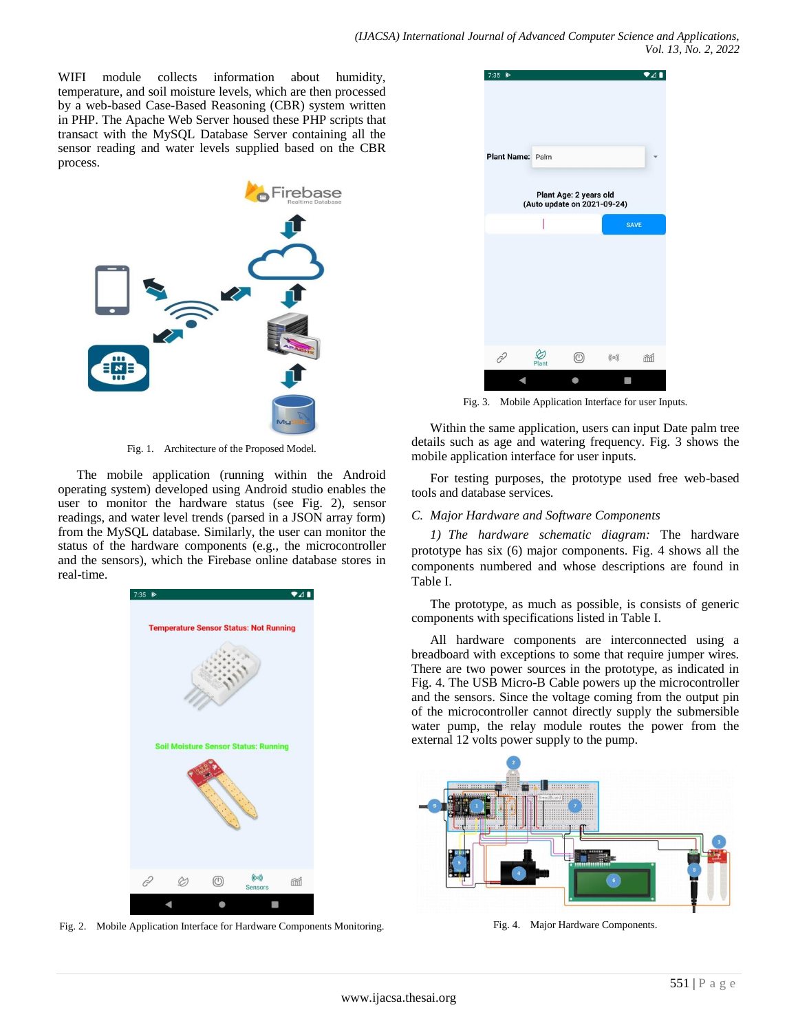WIFI module collects information about humidity, temperature, and soil moisture levels, which are then processed by a web-based Case-Based Reasoning (CBR) system written in PHP. The Apache Web Server housed these PHP scripts that transact with the MySQL Database Server containing all the sensor reading and water levels supplied based on the CBR process.



Fig. 1. Architecture of the Proposed Model.

The mobile application (running within the Android operating system) developed using Android studio enables the user to monitor the hardware status (see Fig. 2), sensor readings, and water level trends (parsed in a JSON array form) from the MySQL database. Similarly, the user can monitor the status of the hardware components (e.g., the microcontroller and the sensors), which the Firebase online database stores in real-time.



Fig. 2. Mobile Application Interface for Hardware Components Monitoring.



Fig. 3. Mobile Application Interface for user Inputs.

Within the same application, users can input Date palm tree details such as age and watering frequency. Fig. 3 shows the mobile application interface for user inputs.

For testing purposes, the prototype used free web-based tools and database services.

#### *C. Major Hardware and Software Components*

*1) The hardware schematic diagram:* The hardware prototype has six (6) major components. Fig. 4 shows all the components numbered and whose descriptions are found in Table I.

The prototype, as much as possible, is consists of generic components with specifications listed in Table I.

All hardware components are interconnected using a breadboard with exceptions to some that require jumper wires. There are two power sources in the prototype, as indicated in Fig. 4. The USB Micro-B Cable powers up the microcontroller and the sensors. Since the voltage coming from the output pin of the microcontroller cannot directly supply the submersible water pump, the relay module routes the power from the external 12 volts power supply to the pump.



Fig. 4. Major Hardware Components.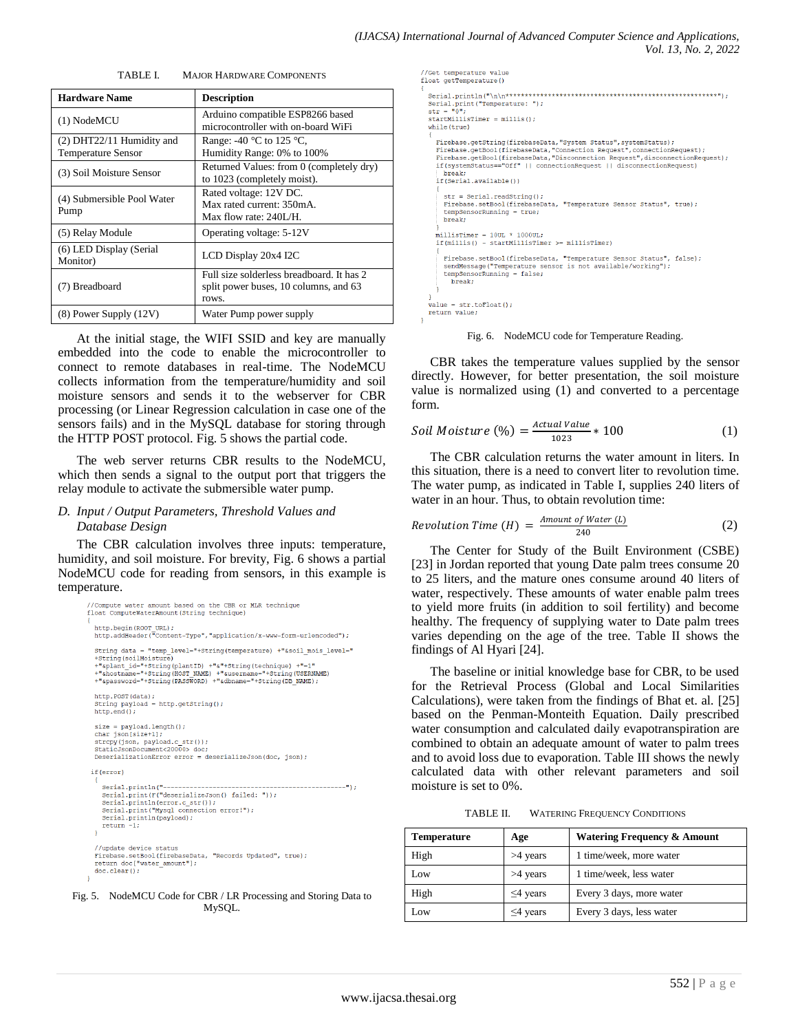| <b>Hardware Name</b>                                   | <b>Description</b>                                                                          |  |  |  |
|--------------------------------------------------------|---------------------------------------------------------------------------------------------|--|--|--|
| (1) NodeMCU                                            | Arduino compatible ESP8266 based<br>microcontroller with on-board WiFi                      |  |  |  |
| (2) DHT22/11 Humidity and<br><b>Temperature Sensor</b> | Range: -40 $^{\circ}$ C to 125 $^{\circ}$ C,<br>Humidity Range: 0% to 100%                  |  |  |  |
| (3) Soil Moisture Sensor                               | Returned Values: from 0 (completely dry)<br>to 1023 (completely moist).                     |  |  |  |
| (4) Submersible Pool Water<br>Pump                     | Rated voltage: 12V DC.<br>Max rated current: 350mA.<br>Max flow rate: $240I/H$ .            |  |  |  |
| (5) Relay Module                                       | Operating voltage: 5-12V                                                                    |  |  |  |
| (6) LED Display (Serial<br>Monitor)                    | LCD Display 20x4 I2C                                                                        |  |  |  |
| (7) Breadboard                                         | Full size solderless breadboard. It has 2<br>split power buses, 10 columns, and 63<br>rows. |  |  |  |
| $(8)$ Power Supply $(12V)$                             | Water Pump power supply                                                                     |  |  |  |

TABLE I. MAJOR HARDWARE COMPONENTS

At the initial stage, the WIFI SSID and key are manually embedded into the code to enable the microcontroller to connect to remote databases in real-time. The NodeMCU collects information from the temperature/humidity and soil moisture sensors and sends it to the webserver for CBR processing (or Linear Regression calculation in case one of the sensors fails) and in the MySQL database for storing through the HTTP POST protocol. Fig. 5 shows the partial code.

The web server returns CBR results to the NodeMCU, which then sends a signal to the output port that triggers the relay module to activate the submersible water pump.

#### *D. Input / Output Parameters, Threshold Values and Database Design*

The CBR calculation involves three inputs: temperature, humidity, and soil moisture. For brevity, Fig. 6 shows a partial NodeMCU code for reading from sensors, in this example is temperature.

```
//Compute water amount based on the CBR or MLR technique
float ComputeWaterAmount (String technique)
  http.begin(ROOT_URL);<br>http.addHeader("Content-Type","application/x-www-form-urlencoded");
   String data = "temp_level="+String(temperature) +"&soil_mois_level="
   +String(soilMoisture)
  +String(soliMolsture)<br>+"sQant_id="+String(plantID) +"&"+String(technique) +"=1"<br>+"&hostname="+String(HOST_NAME) +"&username="+String(USERNAME);<br>+"&password="+String(PASSWORD) +"&dbname="+String(DB_NAME);
                                                                       ="+String (HSERNAME)
  http.POST(data);
  String payload = http.getString();<br>http.end();
  size = payload.length();
   char json[size+1];
  enaryoursery<br>strepy(json, payload.c_str());<br>StaticJsonDocument<20000> doc;<br>DeserializationError error = deserializeJson(doc, json);
 if (error)
     Serial.println("--
                                                                                         Serial.print(F("deserializeJson() failed: "));
      \begin{array}{ll} \mbox{Serial.println(error.c\_str())}\,; \\ \mbox{Serial.print("Mysql connection error)'}\,; \end{array}\texttt{Serial.println}(\texttt{payload}) ;
      return -1;//update device status
   Firebase.setBool(firebaseData, "Records Updated", true);<br>Firebase.setBool(firebaseData, "Records Updated", true);
  doc. clear();
```
Fig. 5. NodeMCU Code for CBR / LR Processing and Storing Data to MySQL.

```
//Get temperature value
float getTemperature()
  Serial.println("\n\n************"><br>Serial.print("Temperature: ");<br>str = "0";
  startMillisTimer = millis();
  while (true)
    Firebase.getString(firebaseData,"System Status", systemStatus);
    Firebase.yetbool(firebaseData, vyouew outer, connectionRequest);<br>Firebase.getBool(firebaseData, "Connection Request", connectionRequest);<br>Firebase.getBool(firebaseData, "Disconnection Request", disconnectionRequest);<br>if(sy
      break:
    if(Serial.available())
       str = Serial.readString();
      Firebase.setBool(firebaseData, "Temperature Sensor Status", true);
       tempSensorRunning = true;break;
    .<br>millisTimer = 10UL * 1000UL;
    if(millis() - startMillisTimer \geq millisTimer)Firebase.setBool(firebaseData, "Temperature Sensor Status", false);
       sendMessage("Temperature sensor is not available/working");
       tempSensorRunning = false;
         break;
    3
  value = str.toflost();return value;
```
Fig. 6. NodeMCU code for Temperature Reading.

CBR takes the temperature values supplied by the sensor directly. However, for better presentation, the soil moisture value is normalized using (1) and converted to a percentage form.

$$
Soil Moisture (\%) = \frac{Actual Value}{1023} * 100 \tag{1}
$$

The CBR calculation returns the water amount in liters. In this situation, there is a need to convert liter to revolution time. The water pump, as indicated in Table I, supplies 240 liters of water in an hour. Thus, to obtain revolution time:

$$
Revolution Time (H) = \frac{Amount of Water (L)}{240}
$$
 (2)

The Center for Study of the Built Environment (CSBE) [23] in Jordan reported that young Date palm trees consume 20 to 25 liters, and the mature ones consume around 40 liters of water, respectively. These amounts of water enable palm trees to yield more fruits (in addition to soil fertility) and become healthy. The frequency of supplying water to Date palm trees varies depending on the age of the tree. Table II shows the findings of Al Hyari [24].

The baseline or initial knowledge base for CBR, to be used for the Retrieval Process (Global and Local Similarities Calculations), were taken from the findings of Bhat et. al. [25] based on the Penman-Monteith Equation. Daily prescribed water consumption and calculated daily evapotranspiration are combined to obtain an adequate amount of water to palm trees and to avoid loss due to evaporation. Table III shows the newly calculated data with other relevant parameters and soil moisture is set to 0%.

TABLE II. WATERING FREQUENCY CONDITIONS

| Temperature | Age            | <b>Watering Frequency &amp; Amount</b> |
|-------------|----------------|----------------------------------------|
| High        | $>4$ years     | 1 time/week, more water                |
| Low         | $>4$ years     | 1 time/week, less water                |
| High        | $\leq$ 4 years | Every 3 days, more water               |
| Low         | $\leq$ 4 years | Every 3 days, less water               |
|             |                |                                        |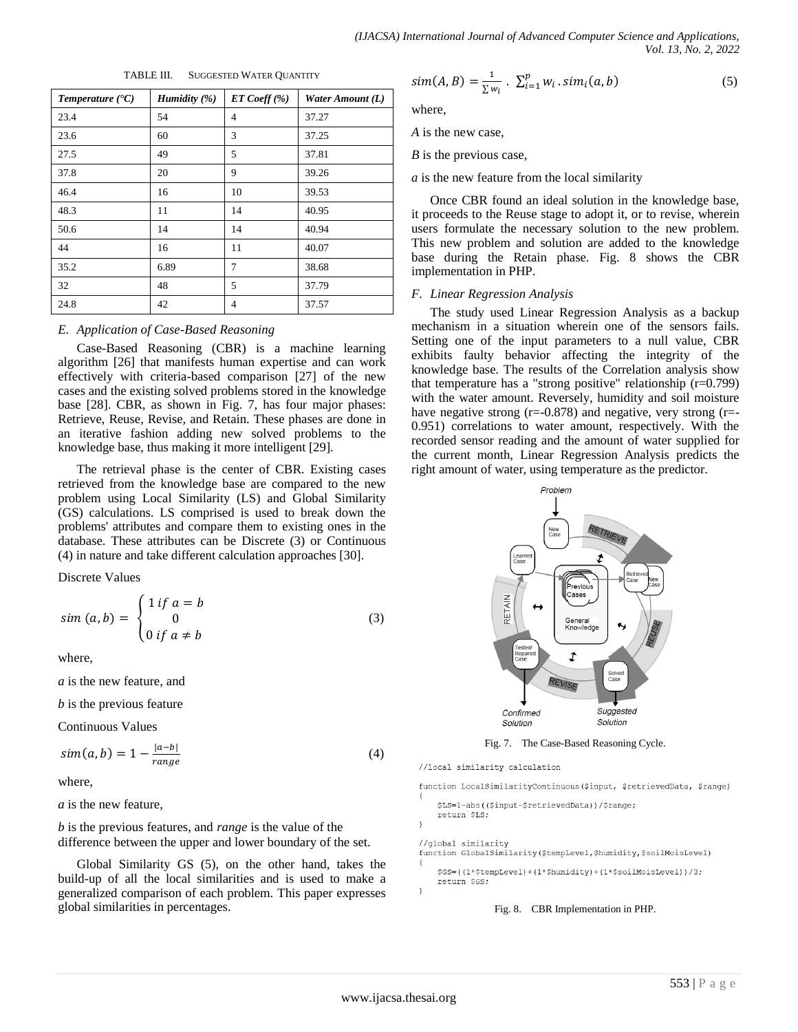| Temperature $(C)$ | Humidity $(\%)$ | ET Coeff (%)   | Water Amount (L) |
|-------------------|-----------------|----------------|------------------|
| 23.4              | 54              | $\overline{4}$ | 37.27            |
| 23.6              | 60              | 3              | 37.25            |
| 27.5              | 49              | 5              | 37.81            |
| 37.8              | 20              | 9              | 39.26            |
| 46.4              | 16              | 10             | 39.53            |
| 48.3              | 11              | 14             | 40.95            |
| 50.6              | 14              | 14             | 40.94            |
| 44                | 16              | 11             | 40.07            |
| 35.2              | 6.89            | 7              | 38.68            |
| 32                | 48              | 5              | 37.79            |
| 24.8              | 42              | $\overline{4}$ | 37.57            |

TABLE III. SUGGESTED WATER QUANTITY

#### *E. Application of Case-Based Reasoning*

Case-Based Reasoning (CBR) is a machine learning algorithm [26] that manifests human expertise and can work effectively with criteria-based comparison [27] of the new cases and the existing solved problems stored in the knowledge base [28]. CBR, as shown in Fig. 7, has four major phases: Retrieve, Reuse, Revise, and Retain. These phases are done in an iterative fashion adding new solved problems to the knowledge base, thus making it more intelligent [29].

The retrieval phase is the center of CBR. Existing cases retrieved from the knowledge base are compared to the new problem using Local Similarity (LS) and Global Similarity (GS) calculations. LS comprised is used to break down the problems' attributes and compare them to existing ones in the database. These attributes can be Discrete (3) or Continuous (4) in nature and take different calculation approaches [30].

Discrete Values

$$
sim (a,b) = \begin{cases} 1 \text{ if } a = b \\ 0 \\ 0 \text{ if } a \neq b \end{cases}
$$
 (3)

where,

*a* is the new feature, and

*b* is the previous feature

Continuous Values

$$
sim(a,b) = 1 - \frac{|a-b|}{range} \tag{4}
$$

where,

*a* is the new feature,

*b* is the previous features, and *range* is the value of the difference between the upper and lower boundary of the set.

Global Similarity GS (5), on the other hand, takes the build-up of all the local similarities and is used to make a generalized comparison of each problem. This paper expresses global similarities in percentages.

$$
sim(A, B) = \frac{1}{\sum w_i} \cdot \sum_{i=1}^{p} w_i \cdot sim_i(a, b)
$$
\n
$$
(5)
$$

where,

*A* is the new case,

*B* is the previous case,

*a* is the new feature from the local similarity

Once CBR found an ideal solution in the knowledge base, it proceeds to the Reuse stage to adopt it, or to revise, wherein users formulate the necessary solution to the new problem. This new problem and solution are added to the knowledge base during the Retain phase. Fig. 8 shows the CBR implementation in PHP.

# *F. Linear Regression Analysis*

The study used Linear Regression Analysis as a backup mechanism in a situation wherein one of the sensors fails. Setting one of the input parameters to a null value, CBR exhibits faulty behavior affecting the integrity of the knowledge base. The results of the Correlation analysis show that temperature has a "strong positive" relationship (r=0.799) with the water amount. Reversely, humidity and soil moisture have negative strong ( $r=-0.878$ ) and negative, very strong ( $r=-$ 0.951) correlations to water amount, respectively. With the recorded sensor reading and the amount of water supplied for the current month, Linear Regression Analysis predicts the right amount of water, using temperature as the predictor.



Fig. 7. The Case-Based Reasoning Cycle.

//local similarity calculation

function LocalSimilarityContinuous(Sinput, SretrievedData, Srange)

```
$LS=1-abs(($input-$retrievedData))/$range;
    return $LS;
//global similarity
function GlobalSimilarity ($tempLevel, $humidity, $soilMoisLevel)
    $GS=((1*$tempLevel)+(1*$humidity)+(1*$soilMoisLevel))/3;
    return SGS:
```
Fig. 8. CBR Implementation in PHP.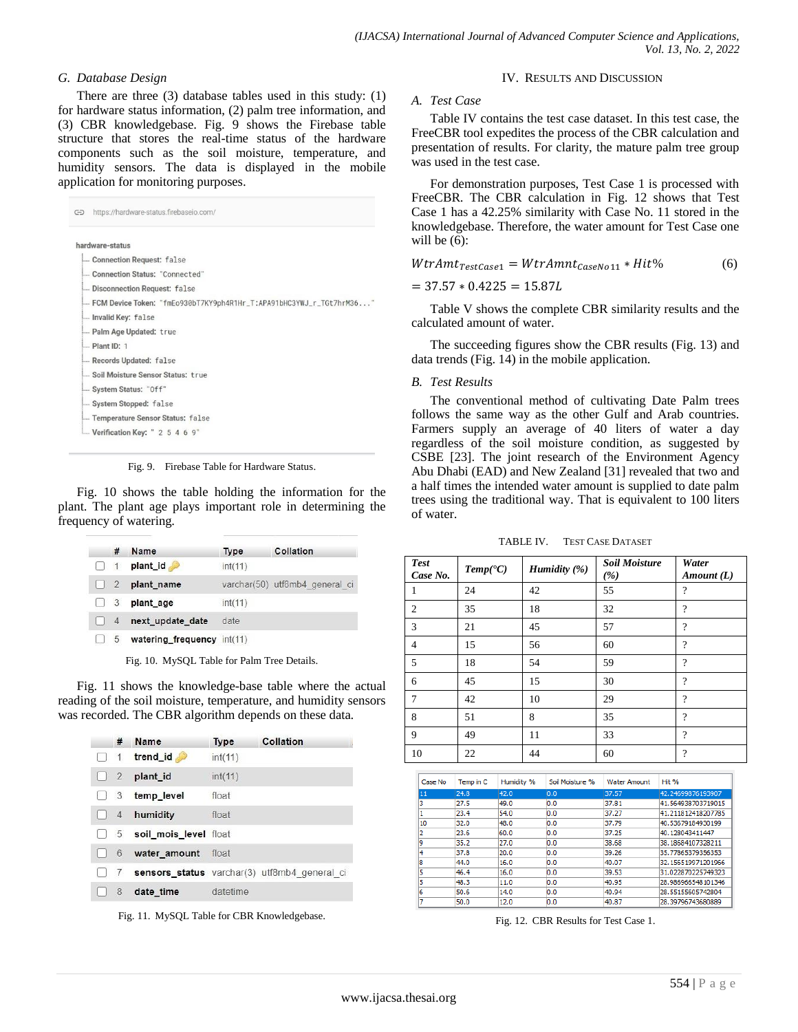# *G. Database Design*

There are three (3) database tables used in this study: (1) for hardware status information, (2) palm tree information, and (3) CBR knowledgebase. Fig. 9 shows the Firebase table structure that stores the real-time status of the hardware components such as the soil moisture, temperature, and humidity sensors. The data is displayed in the mobile application for monitoring purposes.

| G | https://hardware-status.firebaseio.com/                               |
|---|-----------------------------------------------------------------------|
|   | hardware-status                                                       |
|   | Connection Request: false                                             |
|   | Connection Status: "Connected"                                        |
|   | - Disconnection Request: false                                        |
|   | - FCM Device Token: "fmEo930bT7KY9ph4R1Hr_T:APA91bHC3YWJ_r_TGt7hrM36" |
|   | - Invalid Key: false                                                  |
|   | - Palm Age Updated: true                                              |
|   | $L$ Plant ID: 1                                                       |
|   | -Records Updated: false                                               |
|   | Soil Moisture Sensor Status: true                                     |
|   | - System Status: "Off"                                                |
|   | System Stopped: false                                                 |
|   | - Temperature Sensor Status: false                                    |
|   | <b>L</b> Verification Key: $2\ 5\ 4\ 6\ 9$                            |

Fig. 9. Firebase Table for Hardware Status.

Fig. 10 shows the table holding the information for the plant. The plant age plays important role in determining the frequency of watering.

|                                  | #              | Name                       | <b>Type</b> | Collation                      |
|----------------------------------|----------------|----------------------------|-------------|--------------------------------|
|                                  | 1              | plant_id                   | int(11)     |                                |
| $\begin{array}{ccc} \end{array}$ |                | plant name                 |             | varchar(50) utf8mb4 general ci |
| $\Box$ 3                         |                | plant_age                  | int(11)     |                                |
| M                                | $\overline{4}$ | next_update_date           | date        |                                |
|                                  |                | watering frequency int(11) |             |                                |

Fig. 10. MySQL Table for Palm Tree Details.

Fig. 11 shows the knowledge-base table where the actual reading of the soil moisture, temperature, and humidity sensors was recorded. The CBR algorithm depends on these data.

|          | #               | Name                  | <b>Type</b> | Collation                                    |
|----------|-----------------|-----------------------|-------------|----------------------------------------------|
|          | $\mathbf{1}$    | trend_id              | int(11)     |                                              |
| $\Box$ 2 |                 | plant id              | int(11)     |                                              |
|          | 3               | temp_level            | float       |                                              |
|          | $\overline{4}$  | humidity              | float       |                                              |
|          | $5\phantom{.0}$ | soil mois level float |             |                                              |
|          | 6               | water amount          | float       |                                              |
|          |                 |                       |             | sensors_status varchar(3) utf8mb4 general ci |
|          | 8               | date time             | datetime    |                                              |

Fig. 11. MySQL Table for CBR Knowledgebase.

# *A. Test Case*

Table IV contains the test case dataset. In this test case, the FreeCBR tool expedites the process of the CBR calculation and presentation of results. For clarity, the mature palm tree group was used in the test case.

IV. RESULTS AND DISCUSSION

For demonstration purposes, Test Case 1 is processed with FreeCBR. The CBR calculation in Fig. 12 shows that Test Case 1 has a 42.25% similarity with Case No. 11 stored in the knowledgebase. Therefore, the water amount for Test Case one will be  $(6)$ :

$$
WtrAmt_{TestCase1} = WtrAmnt_{CaseNo11} * Hit\%
$$
 (6)

$$
= 37.57 * 0.4225 = 15.87L
$$

Table V shows the complete CBR similarity results and the calculated amount of water.

The succeeding figures show the CBR results (Fig. 13) and data trends (Fig. 14) in the mobile application.

#### *B. Test Results*

The conventional method of cultivating Date Palm trees follows the same way as the other Gulf and Arab countries. Farmers supply an average of 40 liters of water a day regardless of the soil moisture condition, as suggested by CSBE [23]. The joint research of the Environment Agency Abu Dhabi (EAD) and New Zealand [31] revealed that two and a half times the intended water amount is supplied to date palm trees using the traditional way. That is equivalent to 100 liters of water.

| TABLE IV. | <b>TEST CASE DATASET</b> |
|-----------|--------------------------|
|-----------|--------------------------|

| <b>Test</b><br>Case No. | $Temp(^{\bullet}C)$ | Humidity $(\%)$ | <b>Soil Moisture</b><br>(%) | Water<br>Amount (L) |
|-------------------------|---------------------|-----------------|-----------------------------|---------------------|
| 1                       | 24                  | 42              | 55                          | $\overline{\cdot}$  |
| $\overline{2}$          | 35                  | 18              | 32                          | $\overline{\cdot}$  |
| 3                       | 21                  | 45              | 57                          | $\gamma$            |
| $\overline{4}$          | 15                  | 56              | 60                          | $\overline{\cdot}$  |
| 5                       | 18                  | 54              | 59                          | $\overline{\cdot}$  |
| 6                       | 45                  | 15              | 30                          | $\overline{\cdot}$  |
| 7                       | 42                  | 10              | 29                          | $\gamma$            |
| 8                       | 51                  | 8               | 35                          | $\overline{\cdot}$  |
| 9                       | 49                  | 11              | 33                          | $\gamma$            |
| 10                      | 22                  | 44              | 60                          | $\gamma$            |

| Case No | Temp in C | Humidity % | Soil Moisture % | <b>Water Amount</b> | Hit %              |
|---------|-----------|------------|-----------------|---------------------|--------------------|
| 11      | 24.8      | 42.0       | 0.0             | 37.57               | 42.24699876193907  |
| 3       | 27.5      | 49.0       | 0.0             | 37.81               | 41.564938703719015 |
|         | 23.4      | 54.0       | 0.0             | 37.27               | 41.211812418207785 |
| 10      | 32.0      | 48.0       | 0.0             | 37.79               | 40.53679184930199  |
| 2       | 23.6      | 60.0       | 0.0             | 37.25               | 40.128043411447    |
| ۱g      | 35.2      | 27.0       | 0.0             | 38.68               | 38.18684107328211  |
| 4       | 37.8      | 20.0       | 0.0             | 39.26               | 35.77865379356353  |
| 8       | 44.0      | 16.0       | 0.0             | 40.07               | 32.156519971201966 |
| 5       | 46.4      | 16.0       | 0.0             | 39.53               | 31.022870225749323 |
| 5       | 48.3      | 11.0       | 0.0             | 40.95               | 28.986966548101346 |
| ĥ       | 50.6      | 14.0       | 0.0             | 40.94               | 28.55155605742804  |
| 7       | 50.0      | 12.0       | 0.0             | 40.87               | 28.39796743680889  |

Fig. 12. CBR Results for Test Case 1.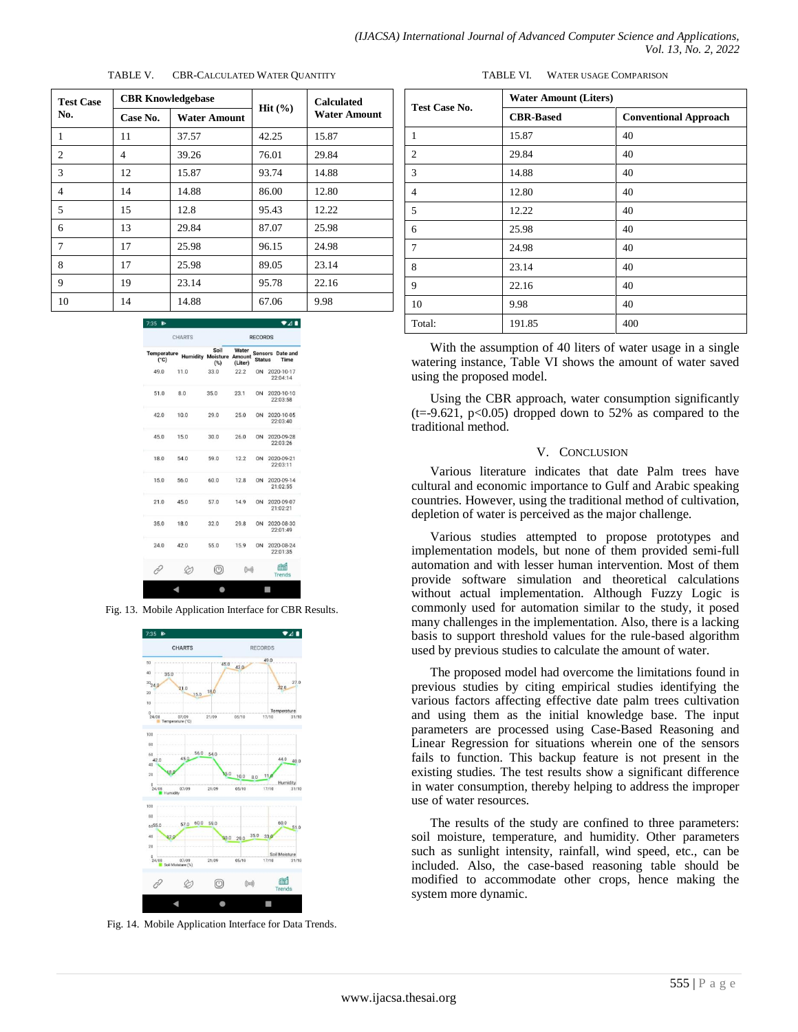| <b>Test Case</b> | <b>CBR Knowledgebase</b> |              |        | <b>Calculated</b>   |  |
|------------------|--------------------------|--------------|--------|---------------------|--|
| No.              | Case No.                 | Water Amount | Hit(%) | <b>Water Amount</b> |  |
| 1                | 11                       | 37.57        | 42.25  | 15.87               |  |
| 2                | 4                        | 39.26        | 76.01  | 29.84               |  |
| 3                | 12                       | 15.87        | 93.74  | 14.88               |  |
| $\overline{4}$   | 14                       | 14.88        | 86.00  | 12.80               |  |
| 5                | 15                       | 12.8         | 95.43  | 12.22               |  |
| 6                | 13                       | 29.84        | 87.07  | 25.98               |  |
| 7                | 17                       | 25.98        | 96.15  | 24.98               |  |
| 8                | 17                       | 25.98        | 89.05  | 23.14               |  |
| 9                | 19                       | 23.14        | 95.78  | 22.16               |  |
| 10               | 14                       | 14.88        | 67.06  | 9.98                |  |

| TABLE V. | <b>CBR-CALCULATED WATER QUANTITY</b> |  |
|----------|--------------------------------------|--|
|          |                                      |  |

|                              | <b>CHARTS</b> | <b>RECORDS</b>                                 |                  |                |  |                                 |
|------------------------------|---------------|------------------------------------------------|------------------|----------------|--|---------------------------------|
| Temperature<br>$(^{\circ}C)$ |               | Soil<br><b>Humidity Moisture Amount</b><br>(%) | Water<br>(Liter) | <b>Status</b>  |  | <b>Sensors</b> Date and<br>Time |
| 49.0                         | 11.0          | 33.0                                           | 22.2             | ON             |  | 2020-10-17<br>22:04:14          |
| 51.0                         | 8.0           | 35.0                                           | 23.1             |                |  | ON 2020-10-10<br>22:03:58       |
| 42.0                         | 10.0          | 29.0                                           | 25.0             | ON             |  | 2020-10-05<br>22:03:40          |
| 45.0                         | 15.0          | 30.0                                           | 26.0             | 0 <sub>N</sub> |  | 2020-09-28<br>22:03:26          |
| 18.0                         | 54.0          | 59.0                                           | 12.2             | ON             |  | 2020-09-21<br>22:03:11          |
| 15.0                         | 56.0          | 60.0                                           | 12.8             | ON             |  | 2020-09-14<br>21:02:55          |
| 21.0                         | 45.0          | 57.0                                           | 14.9             | ON             |  | 2020-09-07<br>21:02:21          |
| 35.0                         | 18.0          | 32.0                                           | 29.8             | ON             |  | 2020-08-30<br>22:01:49          |
| 24.0                         | 42.0          | 55.0                                           | 15.9             | ON             |  | 2020-08-24<br>22:01:35          |
| í                            |               | ◎                                              | $((\text{col})$  |                |  | m<br><b>Trends</b>              |

Fig. 13. Mobile Application Interface for CBR Results.



Fig. 14. Mobile Application Interface for Data Trends.

TABLE VI. WATER USAGE COMPARISON

| Test Case No.  | <b>Water Amount (Liters)</b> |                              |
|----------------|------------------------------|------------------------------|
|                | <b>CBR-Based</b>             | <b>Conventional Approach</b> |
| 1              | 15.87                        | 40                           |
| 2              | 29.84                        | 40                           |
| 3              | 14.88                        | 40                           |
| $\overline{4}$ | 12.80                        | 40                           |
| 5              | 12.22                        | 40                           |
| 6              | 25.98                        | 40                           |
| 7              | 24.98                        | 40                           |
| 8              | 23.14                        | 40                           |
| 9              | 22.16                        | 40                           |
| 10             | 9.98                         | 40                           |
| Total:         | 191.85                       | 400                          |

With the assumption of 40 liters of water usage in a single watering instance, Table VI shows the amount of water saved using the proposed model.

Using the CBR approach, water consumption significantly  $(t=9.621, p<0.05)$  dropped down to 52% as compared to the traditional method.

#### V. CONCLUSION

Various literature indicates that date Palm trees have cultural and economic importance to Gulf and Arabic speaking countries. However, using the traditional method of cultivation, depletion of water is perceived as the major challenge.

Various studies attempted to propose prototypes and implementation models, but none of them provided semi-full automation and with lesser human intervention. Most of them provide software simulation and theoretical calculations without actual implementation. Although Fuzzy Logic is commonly used for automation similar to the study, it posed many challenges in the implementation. Also, there is a lacking basis to support threshold values for the rule-based algorithm used by previous studies to calculate the amount of water.

The proposed model had overcome the limitations found in previous studies by citing empirical studies identifying the various factors affecting effective date palm trees cultivation and using them as the initial knowledge base. The input parameters are processed using Case-Based Reasoning and Linear Regression for situations wherein one of the sensors fails to function. This backup feature is not present in the existing studies. The test results show a significant difference in water consumption, thereby helping to address the improper use of water resources.

The results of the study are confined to three parameters: soil moisture, temperature, and humidity. Other parameters such as sunlight intensity, rainfall, wind speed, etc., can be included. Also, the case-based reasoning table should be modified to accommodate other crops, hence making the system more dynamic.